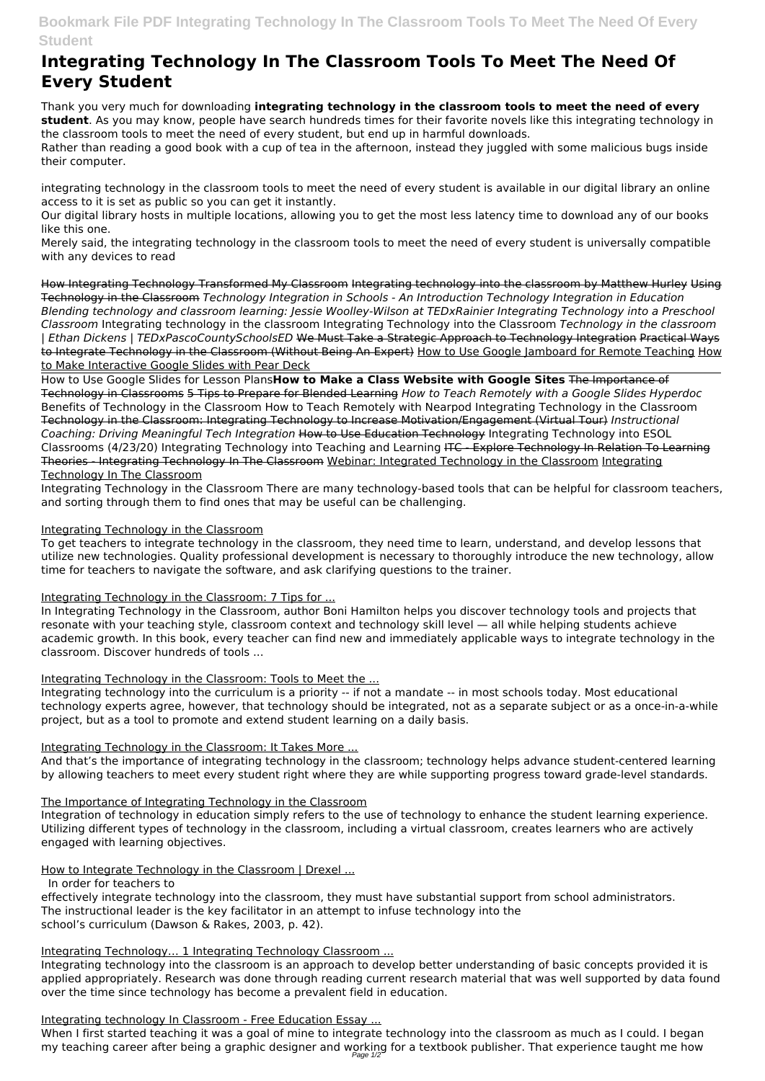# **Bookmark File PDF Integrating Technology In The Classroom Tools To Meet The Need Of Every Student**

# **Integrating Technology In The Classroom Tools To Meet The Need Of Every Student**

Thank you very much for downloading **integrating technology in the classroom tools to meet the need of every student**. As you may know, people have search hundreds times for their favorite novels like this integrating technology in the classroom tools to meet the need of every student, but end up in harmful downloads.

Rather than reading a good book with a cup of tea in the afternoon, instead they juggled with some malicious bugs inside their computer.

integrating technology in the classroom tools to meet the need of every student is available in our digital library an online access to it is set as public so you can get it instantly.

Our digital library hosts in multiple locations, allowing you to get the most less latency time to download any of our books like this one.

Merely said, the integrating technology in the classroom tools to meet the need of every student is universally compatible with any devices to read

How Integrating Technology Transformed My Classroom Integrating technology into the classroom by Matthew Hurley Using Technology in the Classroom *Technology Integration in Schools - An Introduction Technology Integration in Education Blending technology and classroom learning: Jessie Woolley-Wilson at TEDxRainier Integrating Technology into a Preschool Classroom* Integrating technology in the classroom Integrating Technology into the Classroom *Technology in the classroom | Ethan Dickens | TEDxPascoCountySchoolsED* We Must Take a Strategic Approach to Technology Integration Practical Ways to Integrate Technology in the Classroom (Without Being An Expert) How to Use Google Jamboard for Remote Teaching How to Make Interactive Google Slides with Pear Deck

How to Use Google Slides for Lesson Plans**How to Make a Class Website with Google Sites** The Importance of Technology in Classrooms 5 Tips to Prepare for Blended Learning *How to Teach Remotely with a Google Slides Hyperdoc* Benefits of Technology in the Classroom How to Teach Remotely with Nearpod Integrating Technology in the Classroom Technology in the Classroom: Integrating Technology to Increase Motivation/Engagement (Virtual Tour) *Instructional Coaching: Driving Meaningful Tech Integration* How to Use Education Technology Integrating Technology into ESOL Classrooms (4/23/20) Integrating Technology into Teaching and Learning ITC - Explore Technology In Relation To Learning Theories - Integrating Technology In The Classroom Webinar: Integrated Technology in the Classroom Integrating Technology In The Classroom

Integrating Technology in the Classroom There are many technology-based tools that can be helpful for classroom teachers, and sorting through them to find ones that may be useful can be challenging.

When I first started teaching it was a goal of mine to integrate technology into the classroom as much as I could. I began my teaching career after being a graphic designer and working for a textbook publisher. That experience taught me how Page 1/2

## Integrating Technology in the Classroom

To get teachers to integrate technology in the classroom, they need time to learn, understand, and develop lessons that utilize new technologies. Quality professional development is necessary to thoroughly introduce the new technology, allow time for teachers to navigate the software, and ask clarifying questions to the trainer.

## Integrating Technology in the Classroom: 7 Tips for ...

In Integrating Technology in the Classroom, author Boni Hamilton helps you discover technology tools and projects that resonate with your teaching style, classroom context and technology skill level — all while helping students achieve academic growth. In this book, every teacher can find new and immediately applicable ways to integrate technology in the classroom. Discover hundreds of tools ...

#### Integrating Technology in the Classroom: Tools to Meet the ...

Integrating technology into the curriculum is a priority -- if not a mandate -- in most schools today. Most educational technology experts agree, however, that technology should be integrated, not as a separate subject or as a once-in-a-while project, but as a tool to promote and extend student learning on a daily basis.

## Integrating Technology in the Classroom: It Takes More ...

And that's the importance of integrating technology in the classroom; technology helps advance student-centered learning by allowing teachers to meet every student right where they are while supporting progress toward grade-level standards.

## The Importance of Integrating Technology in the Classroom

Integration of technology in education simply refers to the use of technology to enhance the student learning experience.

Utilizing different types of technology in the classroom, including a virtual classroom, creates learners who are actively engaged with learning objectives.

How to Integrate Technology in the Classroom | Drexel ...

In order for teachers to

effectively integrate technology into the classroom, they must have substantial support from school administrators. The instructional leader is the key facilitator in an attempt to infuse technology into the school's curriculum (Dawson & Rakes, 2003, p. 42).

#### Integrating Technology... 1 Integrating Technology Classroom ...

Integrating technology into the classroom is an approach to develop better understanding of basic concepts provided it is applied appropriately. Research was done through reading current research material that was well supported by data found over the time since technology has become a prevalent field in education.

#### Integrating technology In Classroom - Free Education Essay ...